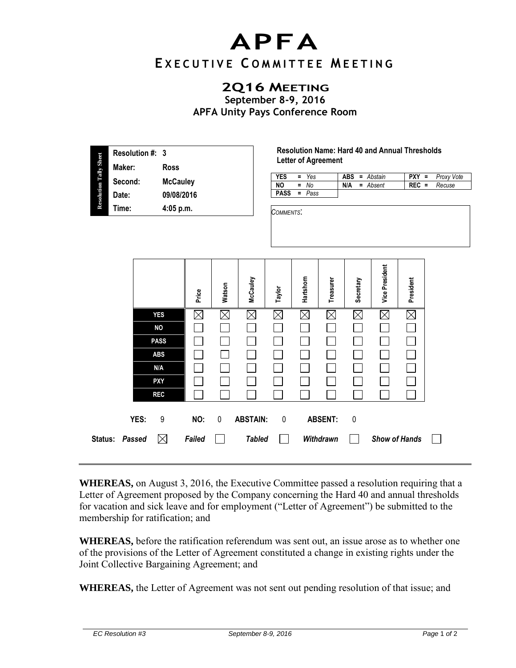## **APFA**

## **E X E C U T I V E C O M M I T T E E M E E T I N G**

## **2Q16 MEETING**

**September 8-9, 2016 APFA Unity Pays Conference Room** 

| <b>Resolution Tally Sheet</b> | Resolution #: 3 |                 |  |  |  |  |  |  |
|-------------------------------|-----------------|-----------------|--|--|--|--|--|--|
|                               | Maker:          | Ross            |  |  |  |  |  |  |
|                               | Second:         | <b>McCauley</b> |  |  |  |  |  |  |
|                               | Date:           | 09/08/2016      |  |  |  |  |  |  |
|                               | Time:           | $4:05$ p.m.     |  |  |  |  |  |  |
|                               |                 |                 |  |  |  |  |  |  |

**Resolution Name: Hard 40 and Annual Thresholds Letter of Agreement** 

| <b>YES</b> | $= Y_{es}$ |     | <b>ABS</b> = Abstain |         | $PXY = Proxy$ Vote |
|------------|------------|-----|----------------------|---------|--------------------|
| NO.        | $=$ No     | N/A | = Absent             | $REC =$ | Recuse             |
| PASS       | = Pass     |     |                      |         |                    |

*COMMENTS*:

|                |             | Price  | Watson   | McCauley        | Taylor      | Hartshom | Treasurer      | Secretary   | <b>Vice President</b> | President |  |
|----------------|-------------|--------|----------|-----------------|-------------|----------|----------------|-------------|-----------------------|-----------|--|
|                | <b>YES</b>  | ⋉      | $\times$ | $\times$        | $\boxtimes$ | $\times$ | $\times$       | $\boxtimes$ | $\boxtimes$           |           |  |
|                | <b>NO</b>   |        |          |                 |             |          |                |             |                       |           |  |
|                | <b>PASS</b> |        |          |                 |             |          |                |             |                       |           |  |
|                | <b>ABS</b>  |        |          |                 |             |          |                |             |                       |           |  |
|                | N/A         |        |          |                 |             |          |                |             |                       |           |  |
|                | <b>PXY</b>  |        |          |                 |             |          |                |             |                       |           |  |
|                | <b>REC</b>  |        |          |                 |             |          |                |             |                       |           |  |
| YES:           | 9           | NO:    | 0        | <b>ABSTAIN:</b> | $\mathbf 0$ |          | <b>ABSENT:</b> | $\mathbf 0$ |                       |           |  |
| Status: Passed | $\boxtimes$ | Failed |          | <b>Tabled</b>   |             |          | Withdrawn      |             | <b>Show of Hands</b>  |           |  |

**WHEREAS,** on August 3, 2016, the Executive Committee passed a resolution requiring that a Letter of Agreement proposed by the Company concerning the Hard 40 and annual thresholds for vacation and sick leave and for employment ("Letter of Agreement") be submitted to the membership for ratification; and

**WHEREAS,** before the ratification referendum was sent out, an issue arose as to whether one of the provisions of the Letter of Agreement constituted a change in existing rights under the Joint Collective Bargaining Agreement; and

**WHEREAS,** the Letter of Agreement was not sent out pending resolution of that issue; and